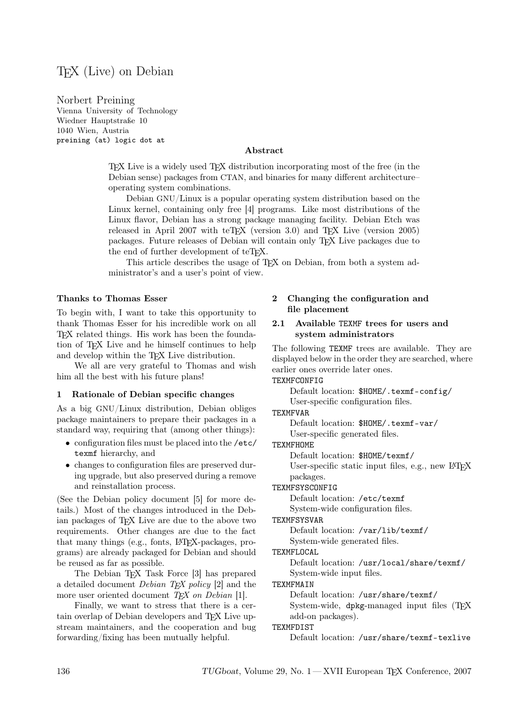# TEX (Live) on Debian

Norbert Preining Vienna University of Technology Wiedner Hauptstraße 10 1040 Wien, Austria preining (at) logic dot at

### Abstract

TEX Live is a widely used TEX distribution incorporating most of the free (in the Debian sense) packages from CTAN, and binaries for many different architecture– operating system combinations.

Debian GNU/Linux is a popular operating system distribution based on the Linux kernel, containing only free [4] programs. Like most distributions of the Linux flavor, Debian has a strong package managing facility. Debian Etch was released in April 2007 with teTEX (version 3.0) and TEX Live (version 2005) packages. Future releases of Debian will contain only TEX Live packages due to the end of further development of teTFX.

This article describes the usage of TEX on Debian, from both a system administrator's and a user's point of view.

#### Thanks to Thomas Esser

To begin with, I want to take this opportunity to thank Thomas Esser for his incredible work on all TEX related things. His work has been the foundation of TEX Live and he himself continues to help and develop within the TEX Live distribution.

We all are very grateful to Thomas and wish him all the best with his future plans!

#### 1 Rationale of Debian specific changes

As a big GNU/Linux distribution, Debian obliges package maintainers to prepare their packages in a standard way, requiring that (among other things):

- $\bullet\,$  configuration files must be placed into the /etc/ texmf hierarchy, and
- changes to configuration files are preserved during upgrade, but also preserved during a remove and reinstallation process.

(See the Debian policy document [5] for more details.) Most of the changes introduced in the Debian packages of TEX Live are due to the above two requirements. Other changes are due to the fact that many things (e.g., fonts, LATEX-packages, programs) are already packaged for Debian and should be reused as far as possible.

The Debian TEX Task Force [3] has prepared a detailed document *Debian TFX policy* [2] and the more user oriented document  $T<sub>E</sub>X$  on Debian [1].

Finally, we want to stress that there is a certain overlap of Debian developers and TEX Live upstream maintainers, and the cooperation and bug forwarding/fixing has been mutually helpful.

# 2 Changing the configuration and file placement

### 2.1 Available TEXMF trees for users and system administrators

The following TEXMF trees are available. They are displayed below in the order they are searched, where earlier ones override later ones.

TEXMFCONFIG

Default location: \$HOME/.texmf-config/ User-specific configuration files.

TEXMFVAR

Default location: \$HOME/.texmf-var/ User-specific generated files.

# TEXMFHOME

Default location: \$HOME/texmf/

User-specific static input files, e.g., new LAT<sub>EX</sub> packages.

#### TEXMFSYSCONFIG

Default location: /etc/texmf

System-wide configuration files.

#### TEXMFSYSVAR

Default location: /var/lib/texmf/

System-wide generated files.

TEXMFLOCAL

# Default location: /usr/local/share/texmf/

System-wide input files.

TEXMFMAIN

Default location: /usr/share/texmf/ System-wide, dpkg-managed input files (TFX

add-on packages).

# TEXMFDIST

Default location: /usr/share/texmf-texlive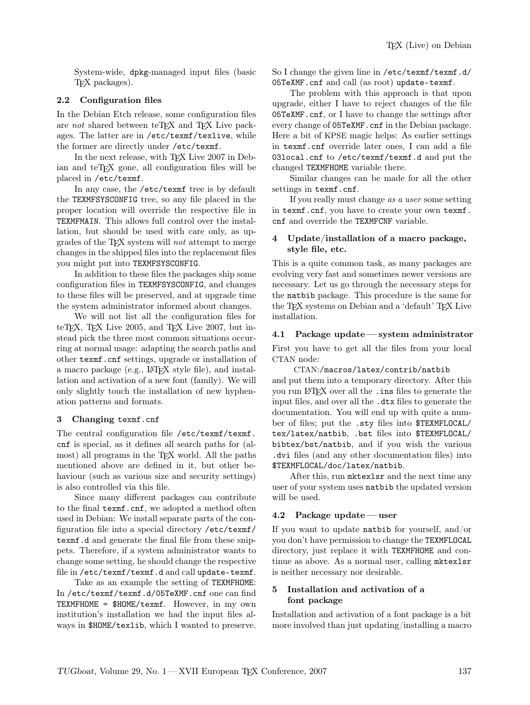System-wide, dpkg-managed input files (basic TEX packages).

### 2.2 Configuration files

In the Debian Etch release, some configuration files are not shared between teTEX and TEX Live packages. The latter are in /etc/texmf/texlive, while the former are directly under /etc/texmf.

In the next release, with TFX Live 2007 in Debian and teT<sub>E</sub>X gone, all configuration files will be placed in /etc/texmf.

In any case, the /etc/texmf tree is by default the TEXMFSYSCONFIG tree, so any file placed in the proper location will override the respective file in TEXMFMAIN. This allows full control over the installation, but should be used with care only, as upgrades of the T<sub>E</sub>X system will *not* attempt to merge changes in the shipped files into the replacement files you might put into TEXMFSYSCONFIG.

In addition to these files the packages ship some configuration files in TEXMFSYSCONFIG, and changes to these files will be preserved, and at upgrade time the system administrator informed about changes.

We will not list all the configuration files for teTEX, TEX Live 2005, and TEX Live 2007, but instead pick the three most common situations occurring at normal usage: adapting the search paths and other texmf.cnf settings, upgrade or installation of a macro package (e.g., LAT<sub>EX</sub> style file), and installation and activation of a new font (family). We will only slightly touch the installation of new hyphenation patterns and formats.

# 3 Changing texmf.cnf

The central configuration file /etc/texmf/texmf. cnf is special, as it defines all search paths for (almost) all programs in the TEX world. All the paths mentioned above are defined in it, but other behaviour (such as various size and security settings) is also controlled via this file.

Since many different packages can contribute to the final texmf.cnf, we adopted a method often used in Debian: We install separate parts of the configuration file into a special directory /etc/texmf/ texmf.d and generate the final file from these snippets. Therefore, if a system administrator wants to change some setting, he should change the respective file in /etc/texmf/texmf.d and call update-texmf.

Take as an example the setting of TEXMFHOME: In /etc/texmf/texmf.d/05TeXMF.cnf one can find TEXMFHOME = \$HOME/texmf. However, in my own institution's installation we had the input files always in \$HOME/texlib, which I wanted to preserve. So I change the given line in /etc/texmf/texmf.d/ 05TeXMF.cnf and call (as root) update-texmf.

The problem with this approach is that upon upgrade, either I have to reject changes of the file 05TeXMF.cnf, or I have to change the settings after every change of 05TeXMF.cnf in the Debian package. Here a bit of KPSE magic helps: As earlier settings in texmf.cnf override later ones, I can add a file 03local.cnf to /etc/texmf/texmf.d and put the changed TEXMFHOME variable there.

Similar changes can be made for all the other settings in texmf.cnf.

If you really must change as a user some setting in texmf.cnf, you have to create your own texmf. cnf and override the TEXMFCNF variable.

## 4 Update/installation of a macro package, style file, etc.

This is a quite common task, as many packages are evolving very fast and sometimes newer versions are necessary. Let us go through the necessary steps for the natbib package. This procedure is the same for the T<sub>F</sub>X systems on Debian and a 'default' T<sub>E</sub>X Live installation.

#### 4.1 Package update — system administrator

First you have to get all the files from your local CTAN node:

CTAN:/macros/latex/contrib/natbib and put them into a temporary directory. After this you run LATEX over all the .ins files to generate the input files, and over all the .dtx files to generate the documentation. You will end up with quite a number of files; put the .sty files into \$TEXMFLOCAL/ tex/latex/natbib, .bst files into \$TEXMFLOCAL/ bibtex/bst/natbib, and if you wish the various .dvi files (and any other documentation files) into \$TEXMFLOCAL/doc/latex/natbib.

After this, run mktexlsr and the next time any user of your system uses natbib the updated version will be used.

#### 4.2 Package update — user

If you want to update natbib for yourself, and/or you don't have permission to change the TEXMFLOCAL directory, just replace it with TEXMFHOME and continue as above. As a normal user, calling mktexlsr is neither necessary nor desirable.

# 5 Installation and activation of a font package

Installation and activation of a font package is a bit more involved than just updating/installing a macro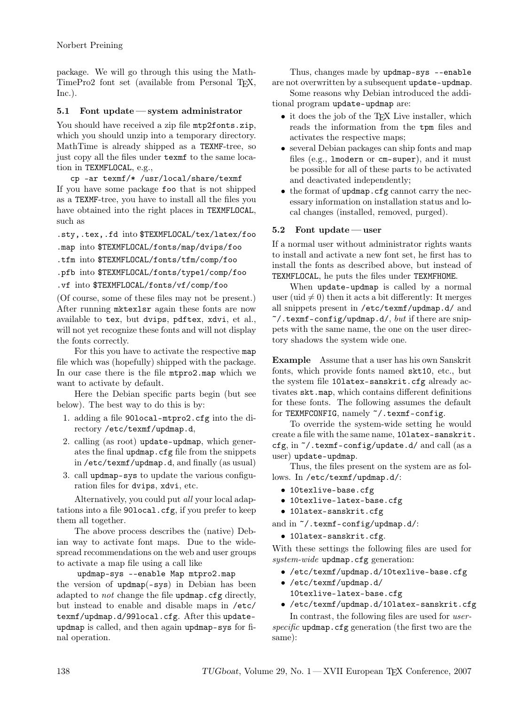package. We will go through this using the Math-TimePro2 font set (available from Personal T<sub>EX</sub>,  $Inc.$ ).

### 5.1 Font update — system administrator

You should have received a zip file mtp2fonts.zip, which you should unzip into a temporary directory. MathTime is already shipped as a TEXMF-tree, so just copy all the files under texmf to the same location in TEXMFLOCAL, e.g.,

cp -ar texmf/\* /usr/local/share/texmf If you have some package foo that is not shipped as a TEXMF-tree, you have to install all the files you have obtained into the right places in TEXMFLOCAL, such as

.sty,.tex,.fd into \$TEXMFLOCAL/tex/latex/foo

.map into \$TEXMFLOCAL/fonts/map/dvips/foo

```
.tfm into $TEXMFLOCAL/fonts/tfm/comp/foo
```

```
.pfb into $TEXMFLOCAL/fonts/type1/comp/foo
```

```
.vf into $TEXMFLOCAL/fonts/vf/comp/foo
```
(Of course, some of these files may not be present.) After running mktexlsr again these fonts are now available to tex, but dvips, pdftex, xdvi, et al., will not yet recognize these fonts and will not display the fonts correctly.

For this you have to activate the respective map file which was (hopefully) shipped with the package. In our case there is the file mtpro2.map which we want to activate by default.

Here the Debian specific parts begin (but see below). The best way to do this is by:

- 1. adding a file 90local-mtpro2.cfg into the directory /etc/texmf/updmap.d,
- 2. calling (as root) update-updmap, which generates the final updmap.cfg file from the snippets in /etc/texmf/updmap.d, and finally (as usual)
- 3. call updmap-sys to update the various configuration files for dvips, xdvi, etc.

Alternatively, you could put all your local adaptations into a file 90local.cfg, if you prefer to keep them all together.

The above process describes the (native) Debian way to activate font maps. Due to the widespread recommendations on the web and user groups to activate a map file using a call like

updmap-sys --enable Map mtpro2.map the version of updmap(-sys) in Debian has been adapted to not change the file updmap.cfg directly, but instead to enable and disable maps in /etc/ texmf/updmap.d/99local.cfg. After this updateupdmap is called, and then again updmap-sys for final operation.

Thus, changes made by updmap-sys --enable are not overwritten by a subsequent update-updmap.

Some reasons why Debian introduced the additional program update-updmap are:

- it does the job of the TFX Live installer, which reads the information from the tpm files and activates the respective maps;
- several Debian packages can ship fonts and map files (e.g., lmodern or cm-super), and it must be possible for all of these parts to be activated and deactivated independently;
- the format of updmap.cfg cannot carry the necessary information on installation status and local changes (installed, removed, purged).

# 5.2 Font update — user

If a normal user without administrator rights wants to install and activate a new font set, he first has to install the fonts as described above, but instead of TEXMFLOCAL, he puts the files under TEXMFHOME.

When update-updmap is called by a normal user (uid  $\neq 0$ ) then it acts a bit differently: It merges all snippets present in /etc/texmf/updmap.d/ and  $\tilde{\phantom{a}}$  /.texmf-config/updmap.d/, but if there are snippets with the same name, the one on the user directory shadows the system wide one.

Example Assume that a user has his own Sanskrit fonts, which provide fonts named skt10, etc., but the system file 10latex-sanskrit.cfg already activates skt.map, which contains different definitions for these fonts. The following assumes the default for TEXMFCONFIG, namely  $\gamma$ .texmf-config.

To override the system-wide setting he would create a file with the same name, 10latex-sanskrit. cfg, in ~/.texmf-config/update.d/ and call (as a user) update-updmap.

Thus, the files present on the system are as follows. In /etc/texmf/updmap.d/:

- 10texlive-base.cfg
- 10texlive-latex-base.cfg
- 10latex-sanskrit.cfg

and in ~/.texmf-config/updmap.d/:

• 10latex-sanskrit.cfg.

With these settings the following files are used for system-wide updmap.cfg generation:

- /etc/texmf/updmap.d/10texlive-base.cfg
- /etc/texmf/updmap.d/ 10texlive-latex-base.cfg
- /etc/texmf/updmap.d/10latex-sanskrit.cfg

In contrast, the following files are used for userspecific updmap.cfg generation (the first two are the same):